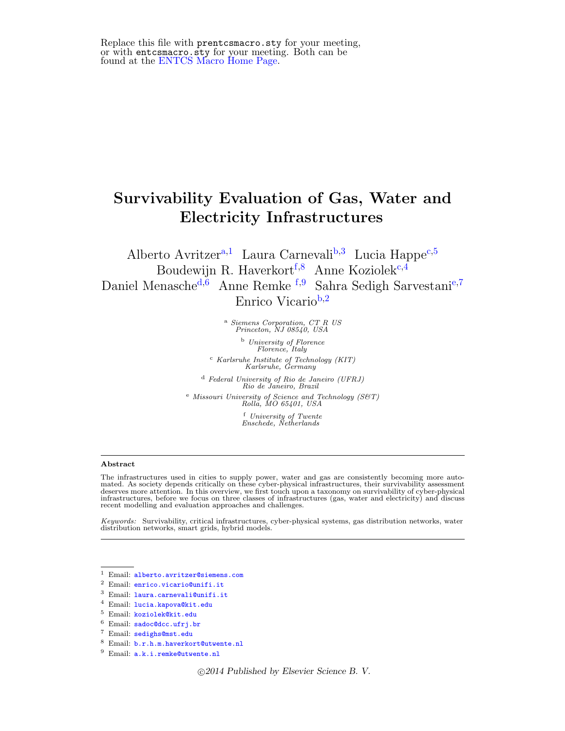Replace this file with prentcsmacro.sty for your meeting, or with entcsmacro.sty for your meeting. Both can be found at the [ENTCS Macro Home Page.](http://www.math.tulane.edu/~entcs)

# Survivability Evaluation of Gas, Water and Electricity Infrastructures

<span id="page-0-2"></span><span id="page-0-0"></span>Alberto Avritzer<sup>[a](#page-0-0),[1](#page-0-1)</sup> Laura Carnevali<sup>[b](#page-0-2), [3](#page-0-1)</sup> Lu[c](#page-0-3)ia Happe<sup>c,[5](#page-0-1)</sup> Boudewijn R. Haverkort<sup>[f](#page-0-4),[8](#page-0-1)</sup> Anne Koziolek<sup>[c](#page-0-3),[4](#page-0-1)</sup> Daniel Menasche<sup>[d](#page-0-5),[6](#page-0-1)</sup> Anne Remke <sup>[f](#page-0-4),[9](#page-0-1)</sup> Sahra S[e](#page-0-6)digh Sarvestani<sup>e,[7](#page-0-1)</sup> Enrico Vicario<sup>[b](#page-0-2),[2](#page-0-1)</sup>

<sup>a</sup> Siemens Corporation, CT R US<br>Princeton, NJ 08540, USA

<sup>b</sup> University of Florence Florence, Italy  $\frac{c}{K}$  Karlsruhe Institute of Technology (KIT)<br>Karlsruhe, Germany

<span id="page-0-5"></span><span id="page-0-3"></span><sup>d</sup> Federal University of Rio de Janeiro (UFRJ) Rio de Janeiro, Brazil <sup>e</sup> Missouri University of Science and Technology (S&T) Rolla, MO 65401, USA <sup>f</sup> University of Twente Enschede, Netherlands

#### <span id="page-0-6"></span><span id="page-0-4"></span><span id="page-0-1"></span>Abstract

The infrastructures used in cities to supply power, water and gas are consistently becoming more automated. As society depends critically on these cyber-physical infrastructures, their survivability assessment deserves more attention. In this overview, we first touch upon a taxonomy on survivability of cyber-physical infrastructures, before we focus on three classes of infrastructures (gas, water and electricity) and discuss recent modelling and evaluation approaches and challenges.

Keywords: Survivability, critical infrastructures, cyber-physical systems, gas distribution networks, water distribution networks, smart grids, hybrid models.

c 2014 Published by Elsevier Science B. V.

<sup>1</sup> Email: [alberto.avritzer@siemens.com](mailto:alberto.avritzer@siemens.com)

<sup>2</sup> Email: [enrico.vicario@unifi.it](mailto:enrico.vicario@unifi.it)

<sup>3</sup> Email: [laura.carnevali@unifi.it](mailto:laura.carnevali@unifi.it)

<sup>4</sup> Email: [lucia.kapova@kit.edu](mailto:lucia.kapova@kit.edu)

<sup>5</sup> Email: [koziolek@kit.edu](mailto:koziolek@kit.edu)

<sup>6</sup> Email: [sadoc@dcc.ufrj.br](mailto:sadoc@dcc.ufrj.br)

<sup>7</sup> Email: [sedighs@mst.edu](mailto:sedighs@mst.edu)

<sup>8</sup> Email: [b.r.h.m.haverkort@utwente.nl](mailto:b.r.h.m.haverkort@utwente.nl)

<sup>9</sup> Email: [a.k.i.remke@utwente.nl](mailto:a.k.i.remke@utwente.nl)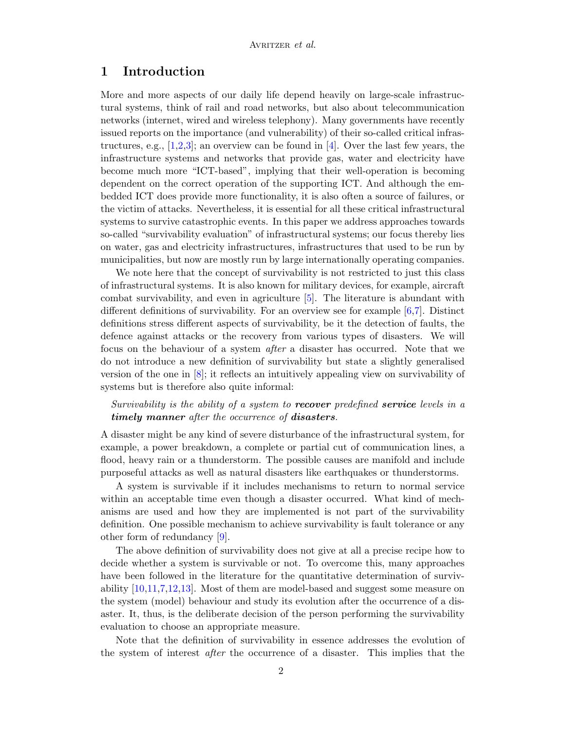# 1 Introduction

More and more aspects of our daily life depend heavily on large-scale infrastructural systems, think of rail and road networks, but also about telecommunication networks (internet, wired and wireless telephony). Many governments have recently issued reports on the importance (and vulnerability) of their so-called critical infrastructures, e.g.,  $[1,2,3]$  $[1,2,3]$  $[1,2,3]$ ; an overview can be found in [\[4\]](#page-16-3). Over the last few years, the infrastructure systems and networks that provide gas, water and electricity have become much more "ICT-based", implying that their well-operation is becoming dependent on the correct operation of the supporting ICT. And although the embedded ICT does provide more functionality, it is also often a source of failures, or the victim of attacks. Nevertheless, it is essential for all these critical infrastructural systems to survive catastrophic events. In this paper we address approaches towards so-called "survivability evaluation" of infrastructural systems; our focus thereby lies on water, gas and electricity infrastructures, infrastructures that used to be run by municipalities, but now are mostly run by large internationally operating companies.

We note here that the concept of survivability is not restricted to just this class of infrastructural systems. It is also known for military devices, for example, aircraft combat survivability, and even in agriculture [\[5\]](#page-16-4). The literature is abundant with different definitions of survivability. For an overview see for example  $[6,7]$  $[6,7]$ . Distinct definitions stress different aspects of survivability, be it the detection of faults, the defence against attacks or the recovery from various types of disasters. We will focus on the behaviour of a system after a disaster has occurred. Note that we do not introduce a new definition of survivability but state a slightly generalised version of the one in [\[8\]](#page-16-7); it reflects an intuitively appealing view on survivability of systems but is therefore also quite informal:

Survivability is the ability of a system to **recover** predefined **service** levels in a timely manner after the occurrence of disasters.

A disaster might be any kind of severe disturbance of the infrastructural system, for example, a power breakdown, a complete or partial cut of communication lines, a flood, heavy rain or a thunderstorm. The possible causes are manifold and include purposeful attacks as well as natural disasters like earthquakes or thunderstorms.

A system is survivable if it includes mechanisms to return to normal service within an acceptable time even though a disaster occurred. What kind of mechanisms are used and how they are implemented is not part of the survivability definition. One possible mechanism to achieve survivability is fault tolerance or any other form of redundancy [\[9\]](#page-16-8).

The above definition of survivability does not give at all a precise recipe how to decide whether a system is survivable or not. To overcome this, many approaches have been followed in the literature for the quantitative determination of survivability [\[10,](#page-16-9)[11,](#page-16-10)[7,](#page-16-6)[12,](#page-17-0)[13\]](#page-17-1). Most of them are model-based and suggest some measure on the system (model) behaviour and study its evolution after the occurrence of a disaster. It, thus, is the deliberate decision of the person performing the survivability evaluation to choose an appropriate measure.

Note that the definition of survivability in essence addresses the evolution of the system of interest after the occurrence of a disaster. This implies that the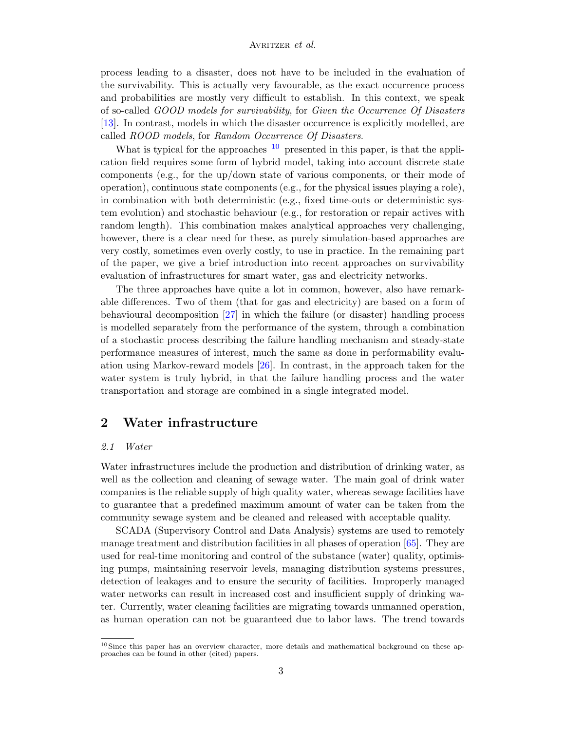process leading to a disaster, does not have to be included in the evaluation of the survivability. This is actually very favourable, as the exact occurrence process and probabilities are mostly very difficult to establish. In this context, we speak of so-called GOOD models for survivability, for Given the Occurrence Of Disasters [\[13\]](#page-17-1). In contrast, models in which the disaster occurrence is explicitly modelled, are called ROOD models, for Random Occurrence Of Disasters.

What is typical for the approaches  $10$  presented in this paper, is that the application field requires some form of hybrid model, taking into account discrete state components (e.g., for the up/down state of various components, or their mode of operation), continuous state components (e.g., for the physical issues playing a role), in combination with both deterministic (e.g., fixed time-outs or deterministic system evolution) and stochastic behaviour (e.g., for restoration or repair actives with random length). This combination makes analytical approaches very challenging, however, there is a clear need for these, as purely simulation-based approaches are very costly, sometimes even overly costly, to use in practice. In the remaining part of the paper, we give a brief introduction into recent approaches on survivability evaluation of infrastructures for smart water, gas and electricity networks.

The three approaches have quite a lot in common, however, also have remarkable differences. Two of them (that for gas and electricity) are based on a form of behavioural decomposition [\[27\]](#page-17-2) in which the failure (or disaster) handling process is modelled separately from the performance of the system, through a combination of a stochastic process describing the failure handling mechanism and steady-state performance measures of interest, much the same as done in performability evaluation using Markov-reward models [\[26\]](#page-17-3). In contrast, in the approach taken for the water system is truly hybrid, in that the failure handling process and the water transportation and storage are combined in a single integrated model.

# 2 Water infrastructure

# 2.1 Water

Water infrastructures include the production and distribution of drinking water, as well as the collection and cleaning of sewage water. The main goal of drink water companies is the reliable supply of high quality water, whereas sewage facilities have to guarantee that a predefined maximum amount of water can be taken from the community sewage system and be cleaned and released with acceptable quality.

SCADA (Supervisory Control and Data Analysis) systems are used to remotely manage treatment and distribution facilities in all phases of operation [\[65\]](#page-19-0). They are used for real-time monitoring and control of the substance (water) quality, optimising pumps, maintaining reservoir levels, managing distribution systems pressures, detection of leakages and to ensure the security of facilities. Improperly managed water networks can result in increased cost and insufficient supply of drinking water. Currently, water cleaning facilities are migrating towards unmanned operation, as human operation can not be guaranteed due to labor laws. The trend towards

<span id="page-2-0"></span><sup>&</sup>lt;sup>10</sup> Since this paper has an overview character, more details and mathematical background on these approaches can be found in other (cited) papers.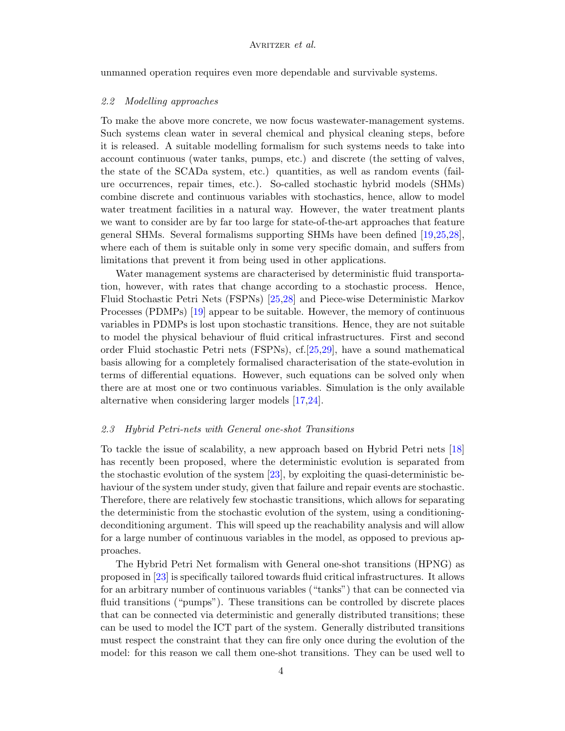unmanned operation requires even more dependable and survivable systems.

#### 2.2 Modelling approaches

To make the above more concrete, we now focus wastewater-management systems. Such systems clean water in several chemical and physical cleaning steps, before it is released. A suitable modelling formalism for such systems needs to take into account continuous (water tanks, pumps, etc.) and discrete (the setting of valves, the state of the SCADa system, etc.) quantities, as well as random events (failure occurrences, repair times, etc.). So-called stochastic hybrid models (SHMs) combine discrete and continuous variables with stochastics, hence, allow to model water treatment facilities in a natural way. However, the water treatment plants we want to consider are by far too large for state-of-the-art approaches that feature general SHMs. Several formalisms supporting SHMs have been defined [\[19,](#page-17-4)[25,](#page-17-5)[28\]](#page-17-6), where each of them is suitable only in some very specific domain, and suffers from limitations that prevent it from being used in other applications.

Water management systems are characterised by deterministic fluid transportation, however, with rates that change according to a stochastic process. Hence, Fluid Stochastic Petri Nets (FSPNs) [\[25,](#page-17-5)[28\]](#page-17-6) and Piece-wise Deterministic Markov Processes (PDMPs) [\[19\]](#page-17-4) appear to be suitable. However, the memory of continuous variables in PDMPs is lost upon stochastic transitions. Hence, they are not suitable to model the physical behaviour of fluid critical infrastructures. First and second order Fluid stochastic Petri nets (FSPNs), cf.[\[25,](#page-17-5)[29\]](#page-17-7), have a sound mathematical basis allowing for a completely formalised characterisation of the state-evolution in terms of differential equations. However, such equations can be solved only when there are at most one or two continuous variables. Simulation is the only available alternative when considering larger models [\[17,](#page-17-8)[24\]](#page-17-9).

#### 2.3 Hybrid Petri-nets with General one-shot Transitions

To tackle the issue of scalability, a new approach based on Hybrid Petri nets [\[18\]](#page-17-10) has recently been proposed, where the deterministic evolution is separated from the stochastic evolution of the system [\[23\]](#page-17-11), by exploiting the quasi-deterministic behaviour of the system under study, given that failure and repair events are stochastic. Therefore, there are relatively few stochastic transitions, which allows for separating the deterministic from the stochastic evolution of the system, using a conditioningdeconditioning argument. This will speed up the reachability analysis and will allow for a large number of continuous variables in the model, as opposed to previous approaches.

The Hybrid Petri Net formalism with General one-shot transitions (HPNG) as proposed in [\[23\]](#page-17-11) is specifically tailored towards fluid critical infrastructures. It allows for an arbitrary number of continuous variables ("tanks") that can be connected via fluid transitions ("pumps"). These transitions can be controlled by discrete places that can be connected via deterministic and generally distributed transitions; these can be used to model the ICT part of the system. Generally distributed transitions must respect the constraint that they can fire only once during the evolution of the model: for this reason we call them one-shot transitions. They can be used well to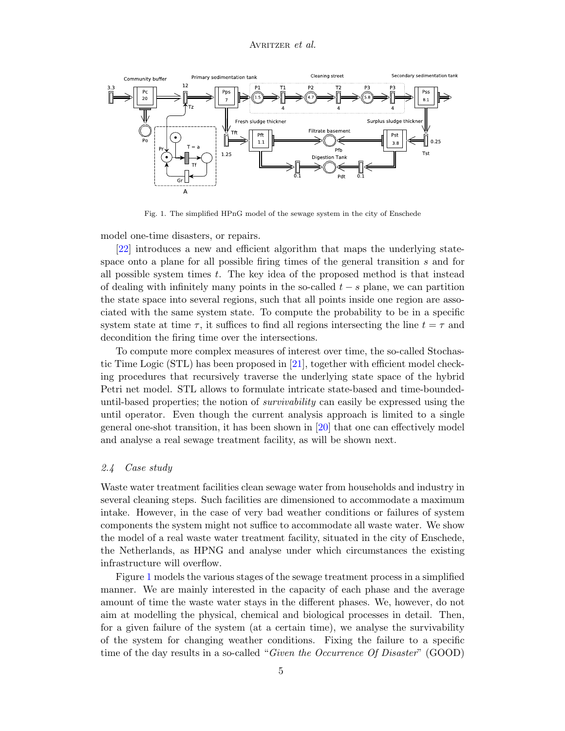

<span id="page-4-0"></span>Fig. 1. The simplified HPnG model of the sewage system in the city of Enschede

model one-time disasters, or repairs.

[\[22\]](#page-17-12) introduces a new and efficient algorithm that maps the underlying statespace onto a plane for all possible firing times of the general transition s and for all possible system times  $t$ . The key idea of the proposed method is that instead of dealing with infinitely many points in the so-called  $t - s$  plane, we can partition the state space into several regions, such that all points inside one region are associated with the same system state. To compute the probability to be in a specific system state at time  $\tau$ , it suffices to find all regions intersecting the line  $t = \tau$  and decondition the firing time over the intersections.

To compute more complex measures of interest over time, the so-called Stochastic Time Logic (STL) has been proposed in [\[21\]](#page-17-13), together with efficient model checking procedures that recursively traverse the underlying state space of the hybrid Petri net model. STL allows to formulate intricate state-based and time-boundeduntil-based properties; the notion of survivability can easily be expressed using the until operator. Even though the current analysis approach is limited to a single general one-shot transition, it has been shown in [\[20\]](#page-17-14) that one can effectively model and analyse a real sewage treatment facility, as will be shown next.

#### 2.4 Case study

Waste water treatment facilities clean sewage water from households and industry in several cleaning steps. Such facilities are dimensioned to accommodate a maximum intake. However, in the case of very bad weather conditions or failures of system components the system might not suffice to accommodate all waste water. We show the model of a real waste water treatment facility, situated in the city of Enschede, the Netherlands, as HPNG and analyse under which circumstances the existing infrastructure will overflow.

Figure [1](#page-4-0) models the various stages of the sewage treatment process in a simplified manner. We are mainly interested in the capacity of each phase and the average amount of time the waste water stays in the different phases. We, however, do not aim at modelling the physical, chemical and biological processes in detail. Then, for a given failure of the system (at a certain time), we analyse the survivability of the system for changing weather conditions. Fixing the failure to a specific time of the day results in a so-called "*Given the Occurrence Of Disaster*" (GOOD)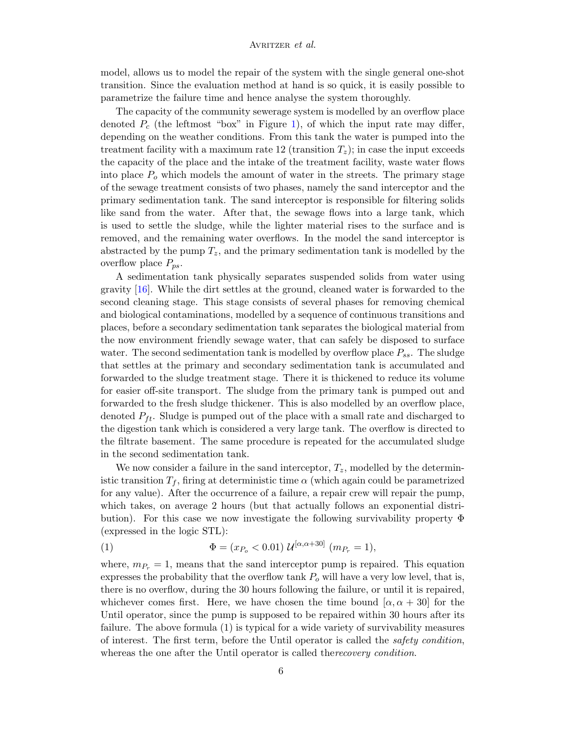model, allows us to model the repair of the system with the single general one-shot transition. Since the evaluation method at hand is so quick, it is easily possible to parametrize the failure time and hence analyse the system thoroughly.

The capacity of the community sewerage system is modelled by an overflow place denoted  $P_c$  (the leftmost "box" in Figure [1\)](#page-4-0), of which the input rate may differ, depending on the weather conditions. From this tank the water is pumped into the treatment facility with a maximum rate 12 (transition  $T_z$ ); in case the input exceeds the capacity of the place and the intake of the treatment facility, waste water flows into place  $P<sub>o</sub>$  which models the amount of water in the streets. The primary stage of the sewage treatment consists of two phases, namely the sand interceptor and the primary sedimentation tank. The sand interceptor is responsible for filtering solids like sand from the water. After that, the sewage flows into a large tank, which is used to settle the sludge, while the lighter material rises to the surface and is removed, and the remaining water overflows. In the model the sand interceptor is abstracted by the pump  $T_z$ , and the primary sedimentation tank is modelled by the overflow place  $P_{ps}$ .

A sedimentation tank physically separates suspended solids from water using gravity [\[16\]](#page-17-15). While the dirt settles at the ground, cleaned water is forwarded to the second cleaning stage. This stage consists of several phases for removing chemical and biological contaminations, modelled by a sequence of continuous transitions and places, before a secondary sedimentation tank separates the biological material from the now environment friendly sewage water, that can safely be disposed to surface water. The second sedimentation tank is modelled by overflow place  $P_{ss}$ . The sludge that settles at the primary and secondary sedimentation tank is accumulated and forwarded to the sludge treatment stage. There it is thickened to reduce its volume for easier off-site transport. The sludge from the primary tank is pumped out and forwarded to the fresh sludge thickener. This is also modelled by an overflow place, denoted  $P_{ft}$ . Sludge is pumped out of the place with a small rate and discharged to the digestion tank which is considered a very large tank. The overflow is directed to the filtrate basement. The same procedure is repeated for the accumulated sludge in the second sedimentation tank.

We now consider a failure in the sand interceptor,  $T_z$ , modelled by the deterministic transition  $T_f$ , firing at deterministic time  $\alpha$  (which again could be parametrized for any value). After the occurrence of a failure, a repair crew will repair the pump, which takes, on average 2 hours (but that actually follows an exponential distribution). For this case we now investigate the following survivability property  $\Phi$ (expressed in the logic STL):

(1) 
$$
\Phi = (x_{P_o} < 0.01) \mathcal{U}^{[\alpha, \alpha + 30]} \ (m_{P_r} = 1),
$$

where,  $m_{P_r} = 1$ , means that the sand interceptor pump is repaired. This equation expresses the probability that the overflow tank  $P<sub>o</sub>$  will have a very low level, that is, there is no overflow, during the 30 hours following the failure, or until it is repaired, whichever comes first. Here, we have chosen the time bound  $[\alpha, \alpha + 30]$  for the Until operator, since the pump is supposed to be repaired within 30 hours after its failure. The above formula (1) is typical for a wide variety of survivability measures of interest. The first term, before the Until operator is called the safety condition, whereas the one after the Until operator is called there *covery condition*.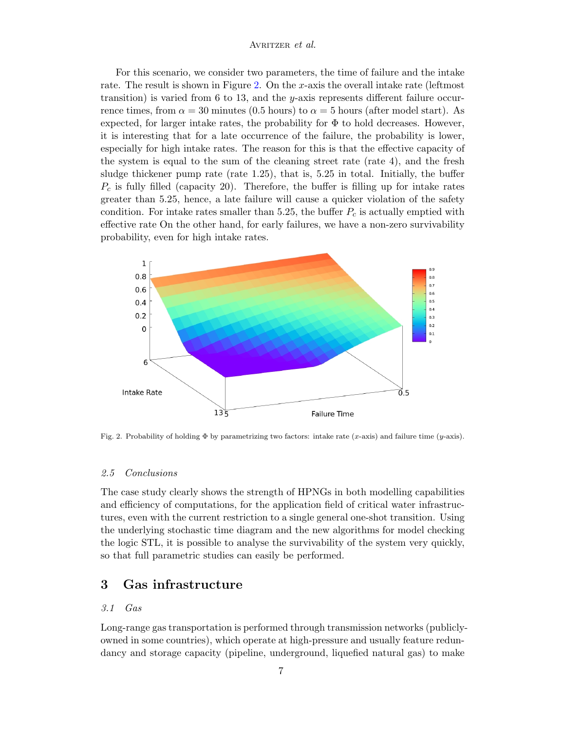For this scenario, we consider two parameters, the time of failure and the intake rate. The result is shown in Figure [2.](#page-6-0) On the x-axis the overall intake rate (leftmost transition) is varied from 6 to 13, and the y-axis represents different failure occurrence times, from  $\alpha = 30$  minutes (0.5 hours) to  $\alpha = 5$  hours (after model start). As expected, for larger intake rates, the probability for  $\Phi$  to hold decreases. However, it is interesting that for a late occurrence of the failure, the probability is lower, especially for high intake rates. The reason for this is that the effective capacity of the system is equal to the sum of the cleaning street rate (rate 4), and the fresh sludge thickener pump rate (rate 1.25), that is, 5.25 in total. Initially, the buffer  $P_c$  is fully filled (capacity 20). Therefore, the buffer is filling up for intake rates greater than 5.25, hence, a late failure will cause a quicker violation of the safety condition. For intake rates smaller than 5.25, the buffer  $P_c$  is actually emptied with effective rate On the other hand, for early failures, we have a non-zero survivability probability, even for high intake rates.



<span id="page-6-0"></span>Fig. 2. Probability of holding  $\Phi$  by parametrizing two factors: intake rate (x-axis) and failure time (y-axis).

# 2.5 Conclusions

The case study clearly shows the strength of HPNGs in both modelling capabilities and efficiency of computations, for the application field of critical water infrastructures, even with the current restriction to a single general one-shot transition. Using the underlying stochastic time diagram and the new algorithms for model checking the logic STL, it is possible to analyse the survivability of the system very quickly, so that full parametric studies can easily be performed.

# 3 Gas infrastructure

# 3.1 Gas

Long-range gas transportation is performed through transmission networks (publiclyowned in some countries), which operate at high-pressure and usually feature redundancy and storage capacity (pipeline, underground, liquefied natural gas) to make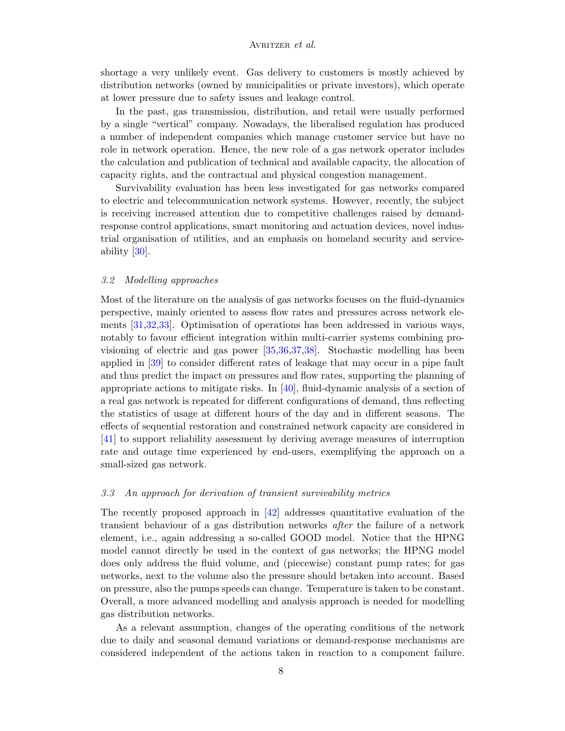shortage a very unlikely event. Gas delivery to customers is mostly achieved by distribution networks (owned by municipalities or private investors), which operate at lower pressure due to safety issues and leakage control.

In the past, gas transmission, distribution, and retail were usually performed by a single "vertical" company. Nowadays, the liberalised regulation has produced a number of independent companies which manage customer service but have no role in network operation. Hence, the new role of a gas network operator includes the calculation and publication of technical and available capacity, the allocation of capacity rights, and the contractual and physical congestion management.

Survivability evaluation has been less investigated for gas networks compared to electric and telecommunication network systems. However, recently, the subject is receiving increased attention due to competitive challenges raised by demandresponse control applications, smart monitoring and actuation devices, novel industrial organisation of utilities, and an emphasis on homeland security and serviceability [\[30\]](#page-17-16).

#### 3.2 Modelling approaches

Most of the literature on the analysis of gas networks focuses on the fluid-dynamics perspective, mainly oriented to assess flow rates and pressures across network elements [\[31,](#page-17-17)[32,](#page-17-18)[33\]](#page-17-19). Optimisation of operations has been addressed in various ways, notably to favour efficient integration within multi-carrier systems combining provisioning of electric and gas power [\[35,](#page-17-20)[36,](#page-18-0)[37,](#page-18-1)[38\]](#page-18-2). Stochastic modelling has been applied in [\[39\]](#page-18-3) to consider different rates of leakage that may occur in a pipe fault and thus predict the impact on pressures and flow rates, supporting the planning of appropriate actions to mitigate risks. In  $[40]$ , fluid-dynamic analysis of a section of a real gas network is repeated for different configurations of demand, thus reflecting the statistics of usage at different hours of the day and in different seasons. The effects of sequential restoration and constrained network capacity are considered in [\[41\]](#page-18-5) to support reliability assessment by deriving average measures of interruption rate and outage time experienced by end-users, exemplifying the approach on a small-sized gas network.

# 3.3 An approach for derivation of transient survivability metrics

The recently proposed approach in [\[42\]](#page-18-6) addresses quantitative evaluation of the transient behaviour of a gas distribution networks after the failure of a network element, i.e., again addressing a so-called GOOD model. Notice that the HPNG model cannot directly be used in the context of gas networks; the HPNG model does only address the fluid volume, and (piecewise) constant pump rates; for gas networks, next to the volume also the pressure should betaken into account. Based on pressure, also the pumps speeds can change. Temperature is taken to be constant. Overall, a more advanced modelling and analysis approach is needed for modelling gas distribution networks.

As a relevant assumption, changes of the operating conditions of the network due to daily and seasonal demand variations or demand-response mechanisms are considered independent of the actions taken in reaction to a component failure.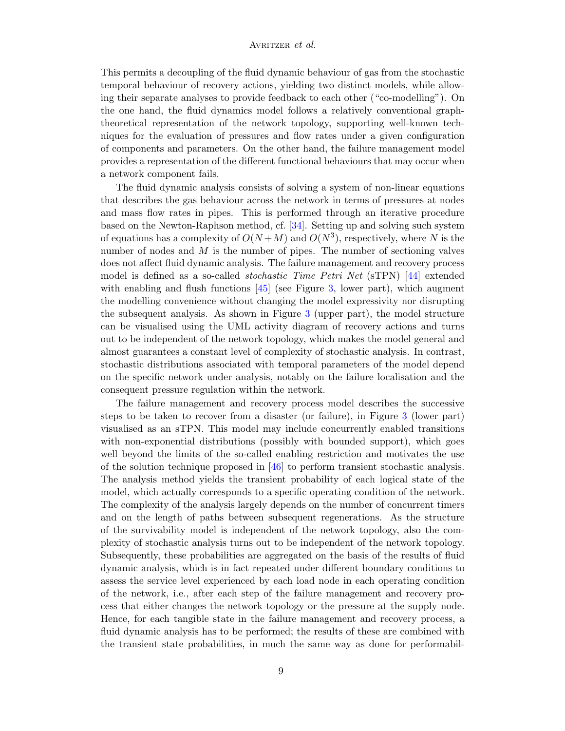This permits a decoupling of the fluid dynamic behaviour of gas from the stochastic temporal behaviour of recovery actions, yielding two distinct models, while allowing their separate analyses to provide feedback to each other ("co-modelling"). On the one hand, the fluid dynamics model follows a relatively conventional graphtheoretical representation of the network topology, supporting well-known techniques for the evaluation of pressures and flow rates under a given configuration of components and parameters. On the other hand, the failure management model provides a representation of the different functional behaviours that may occur when a network component fails.

The fluid dynamic analysis consists of solving a system of non-linear equations that describes the gas behaviour across the network in terms of pressures at nodes and mass flow rates in pipes. This is performed through an iterative procedure based on the Newton-Raphson method, cf. [\[34\]](#page-17-21). Setting up and solving such system of equations has a complexity of  $O(N+M)$  and  $O(N^3)$ , respectively, where N is the number of nodes and  $M$  is the number of pipes. The number of sectioning valves does not affect fluid dynamic analysis. The failure management and recovery process model is defined as a so-called stochastic Time Petri Net (sTPN) [\[44\]](#page-18-7) extended with enabling and flush functions [\[45\]](#page-18-8) (see Figure [3,](#page-10-0) lower part), which augment the modelling convenience without changing the model expressivity nor disrupting the subsequent analysis. As shown in Figure [3](#page-10-0) (upper part), the model structure can be visualised using the UML activity diagram of recovery actions and turns out to be independent of the network topology, which makes the model general and almost guarantees a constant level of complexity of stochastic analysis. In contrast, stochastic distributions associated with temporal parameters of the model depend on the specific network under analysis, notably on the failure localisation and the consequent pressure regulation within the network.

The failure management and recovery process model describes the successive steps to be taken to recover from a disaster (or failure), in Figure [3](#page-10-0) (lower part) visualised as an sTPN. This model may include concurrently enabled transitions with non-exponential distributions (possibly with bounded support), which goes well beyond the limits of the so-called enabling restriction and motivates the use of the solution technique proposed in [\[46\]](#page-18-9) to perform transient stochastic analysis. The analysis method yields the transient probability of each logical state of the model, which actually corresponds to a specific operating condition of the network. The complexity of the analysis largely depends on the number of concurrent timers and on the length of paths between subsequent regenerations. As the structure of the survivability model is independent of the network topology, also the complexity of stochastic analysis turns out to be independent of the network topology. Subsequently, these probabilities are aggregated on the basis of the results of fluid dynamic analysis, which is in fact repeated under different boundary conditions to assess the service level experienced by each load node in each operating condition of the network, i.e., after each step of the failure management and recovery process that either changes the network topology or the pressure at the supply node. Hence, for each tangible state in the failure management and recovery process, a fluid dynamic analysis has to be performed; the results of these are combined with the transient state probabilities, in much the same way as done for performabil-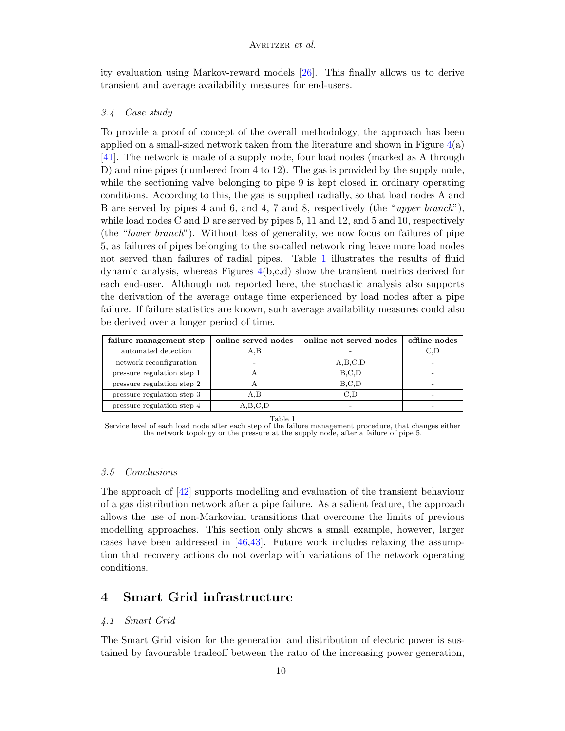ity evaluation using Markov-reward models [\[26\]](#page-17-3). This finally allows us to derive transient and average availability measures for end-users.

# 3.4 Case study

To provide a proof of concept of the overall methodology, the approach has been applied on a small-sized network taken from the literature and shown in Figure  $4(a)$  $4(a)$ [\[41\]](#page-18-5). The network is made of a supply node, four load nodes (marked as A through D) and nine pipes (numbered from 4 to 12). The gas is provided by the supply node, while the sectioning valve belonging to pipe 9 is kept closed in ordinary operating conditions. According to this, the gas is supplied radially, so that load nodes A and B are served by pipes 4 and 6, and 4, 7 and 8, respectively (the "upper branch"), while load nodes C and D are served by pipes 5, 11 and 12, and 5 and 10, respectively (the "lower branch"). Without loss of generality, we now focus on failures of pipe 5, as failures of pipes belonging to the so-called network ring leave more load nodes not served than failures of radial pipes. Table [1](#page-9-0) illustrates the results of fluid dynamic analysis, whereas Figures [4\(](#page-11-0)b,c,d) show the transient metrics derived for each end-user. Although not reported here, the stochastic analysis also supports the derivation of the average outage time experienced by load nodes after a pipe failure. If failure statistics are known, such average availability measures could also be derived over a longer period of time.

| failure management step    | online served nodes | online not served nodes | offline nodes |
|----------------------------|---------------------|-------------------------|---------------|
| automated detection        | A,B                 |                         | C.D           |
| network reconfiguration    |                     | A,B,C,D                 |               |
| pressure regulation step 1 |                     | B, C, D                 |               |
| pressure regulation step 2 |                     | B.C.D                   |               |
| pressure regulation step 3 | A.B                 | C.D                     |               |
| pressure regulation step 4 | A,B,C,D             |                         |               |

Table 1

<span id="page-9-0"></span>Service level of each load node after each step of the failure management procedure, that changes either the network topology or the pressure at the supply node, after a failure of pipe 5.

### 3.5 Conclusions

The approach of [\[42\]](#page-18-6) supports modelling and evaluation of the transient behaviour of a gas distribution network after a pipe failure. As a salient feature, the approach allows the use of non-Markovian transitions that overcome the limits of previous modelling approaches. This section only shows a small example, however, larger cases have been addressed in  $[46,43]$  $[46,43]$ . Future work includes relaxing the assumption that recovery actions do not overlap with variations of the network operating conditions.

# 4 Smart Grid infrastructure

#### 4.1 Smart Grid

The Smart Grid vision for the generation and distribution of electric power is sustained by favourable tradeoff between the ratio of the increasing power generation,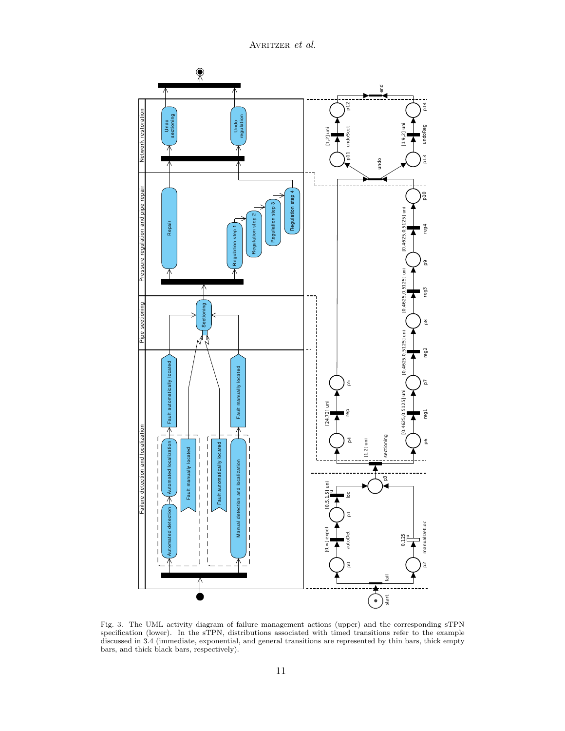

<span id="page-10-0"></span>Fig. 3. The UML activity diagram of failure management actions (upper) and the corresponding sTPN specification (lower). In the sTPN, distributions associated with timed transitions refer to the example discussed in 3.4 (immediate, exponential, and general transitions are represented by thin bars, thick empty bars, and thick black bars, respectively).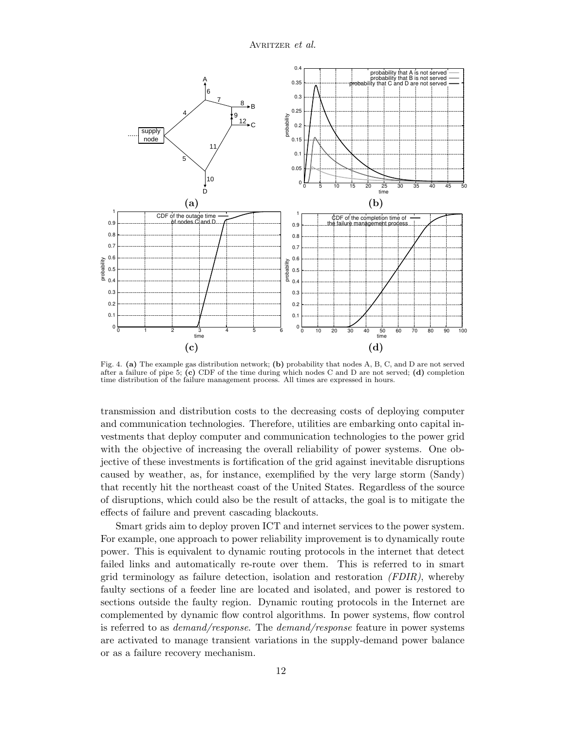

<span id="page-11-0"></span>Fig. 4. (a) The example gas distribution network; (b) probability that nodes A, B, C, and D are not served after a failure of pipe 5; (c) CDF of the time during which nodes C and D are not served; (d) completion time distribution of the failure management process. All times are expressed in hours.

transmission and distribution costs to the decreasing costs of deploying computer and communication technologies. Therefore, utilities are embarking onto capital investments that deploy computer and communication technologies to the power grid with the objective of increasing the overall reliability of power systems. One objective of these investments is fortification of the grid against inevitable disruptions caused by weather, as, for instance, exemplified by the very large storm (Sandy) that recently hit the northeast coast of the United States. Regardless of the source of disruptions, which could also be the result of attacks, the goal is to mitigate the effects of failure and prevent cascading blackouts.

Smart grids aim to deploy proven ICT and internet services to the power system. For example, one approach to power reliability improvement is to dynamically route power. This is equivalent to dynamic routing protocols in the internet that detect failed links and automatically re-route over them. This is referred to in smart grid terminology as failure detection, isolation and restoration  $(FDIR)$ , whereby faulty sections of a feeder line are located and isolated, and power is restored to sections outside the faulty region. Dynamic routing protocols in the Internet are complemented by dynamic flow control algorithms. In power systems, flow control is referred to as demand/response. The demand/response feature in power systems are activated to manage transient variations in the supply-demand power balance or as a failure recovery mechanism.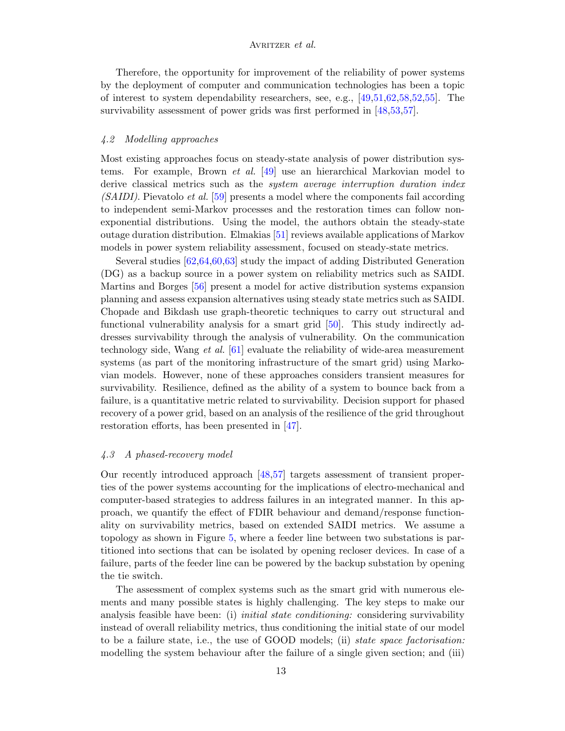Therefore, the opportunity for improvement of the reliability of power systems by the deployment of computer and communication technologies has been a topic of interest to system dependability researchers, see, e.g.,  $[49,51,62,58,52,55]$  $[49,51,62,58,52,55]$  $[49,51,62,58,52,55]$  $[49,51,62,58,52,55]$  $[49,51,62,58,52,55]$  $[49,51,62,58,52,55]$ . The survivability assessment of power grids was first performed in [\[48,](#page-18-16)[53,](#page-18-17)[57\]](#page-18-18).

#### 4.2 Modelling approaches

Most existing approaches focus on steady-state analysis of power distribution systems. For example, Brown et al. [\[49\]](#page-18-11) use an hierarchical Markovian model to derive classical metrics such as the system average interruption duration index (SAIDI). Pievatolo et al. [\[59\]](#page-19-2) presents a model where the components fail according to independent semi-Markov processes and the restoration times can follow nonexponential distributions. Using the model, the authors obtain the steady-state outage duration distribution. Elmakias [\[51\]](#page-18-12) reviews available applications of Markov models in power system reliability assessment, focused on steady-state metrics.

Several studies [\[62,](#page-19-1)[64,](#page-19-3)[60,](#page-19-4)[63\]](#page-19-5) study the impact of adding Distributed Generation (DG) as a backup source in a power system on reliability metrics such as SAIDI. Martins and Borges [\[56\]](#page-18-19) present a model for active distribution systems expansion planning and assess expansion alternatives using steady state metrics such as SAIDI. Chopade and Bikdash use graph-theoretic techniques to carry out structural and functional vulnerability analysis for a smart grid [\[50\]](#page-18-20). This study indirectly addresses survivability through the analysis of vulnerability. On the communication technology side, Wang et al. [\[61\]](#page-19-6) evaluate the reliability of wide-area measurement systems (as part of the monitoring infrastructure of the smart grid) using Markovian models. However, none of these approaches considers transient measures for survivability. Resilience, defined as the ability of a system to bounce back from a failure, is a quantitative metric related to survivability. Decision support for phased recovery of a power grid, based on an analysis of the resilience of the grid throughout restoration efforts, has been presented in [\[47\]](#page-18-21).

#### 4.3 A phased-recovery model

Our recently introduced approach [\[48,](#page-18-16)[57\]](#page-18-18) targets assessment of transient properties of the power systems accounting for the implications of electro-mechanical and computer-based strategies to address failures in an integrated manner. In this approach, we quantify the effect of FDIR behaviour and demand/response functionality on survivability metrics, based on extended SAIDI metrics. We assume a topology as shown in Figure [5,](#page-13-0) where a feeder line between two substations is partitioned into sections that can be isolated by opening recloser devices. In case of a failure, parts of the feeder line can be powered by the backup substation by opening the tie switch.

The assessment of complex systems such as the smart grid with numerous elements and many possible states is highly challenging. The key steps to make our analysis feasible have been: (i) *initial state conditioning:* considering survivability instead of overall reliability metrics, thus conditioning the initial state of our model to be a failure state, i.e., the use of GOOD models; (ii) state space factorisation: modelling the system behaviour after the failure of a single given section; and (iii)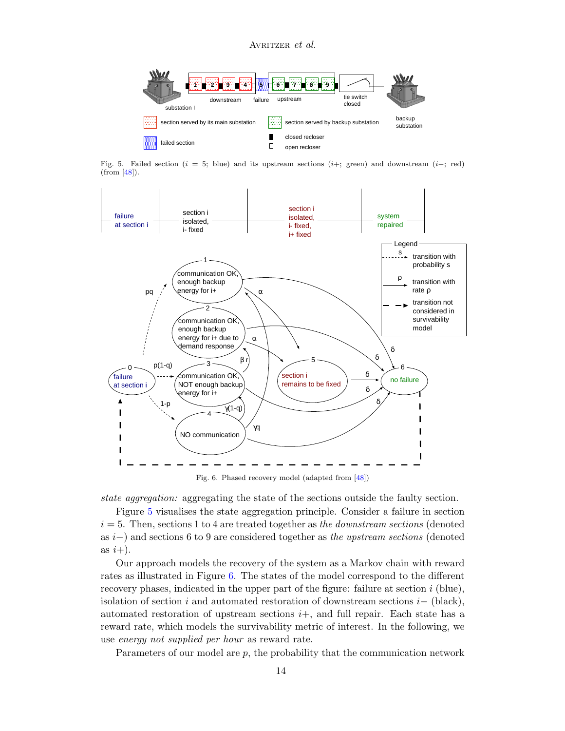

<span id="page-13-0"></span>Fig. 5. Failed section ( $i = 5$ ; blue) and its upstream sections ( $i+$ ; green) and downstream ( $i-$ ; red) (from [\[48\]](#page-18-16)).



<span id="page-13-1"></span>Fig. 6. Phased recovery model (adapted from [\[48\]](#page-18-16))

state aggregation: aggregating the state of the sections outside the faulty section.

Figure [5](#page-13-0) visualises the state aggregation principle. Consider a failure in section  $i = 5$ . Then, sections 1 to 4 are treated together as the downstream sections (denoted as i−) and sections 6 to 9 are considered together as the upstream sections (denoted as  $i+$ ).

Our approach models the recovery of the system as a Markov chain with reward rates as illustrated in Figure [6.](#page-13-1) The states of the model correspond to the different recovery phases, indicated in the upper part of the figure: failure at section  $i$  (blue), isolation of section i and automated restoration of downstream sections  $i-$  (black), automated restoration of upstream sections  $i+$ , and full repair. Each state has a reward rate, which models the survivability metric of interest. In the following, we use energy not supplied per hour as reward rate.

Parameters of our model are  $p$ , the probability that the communication network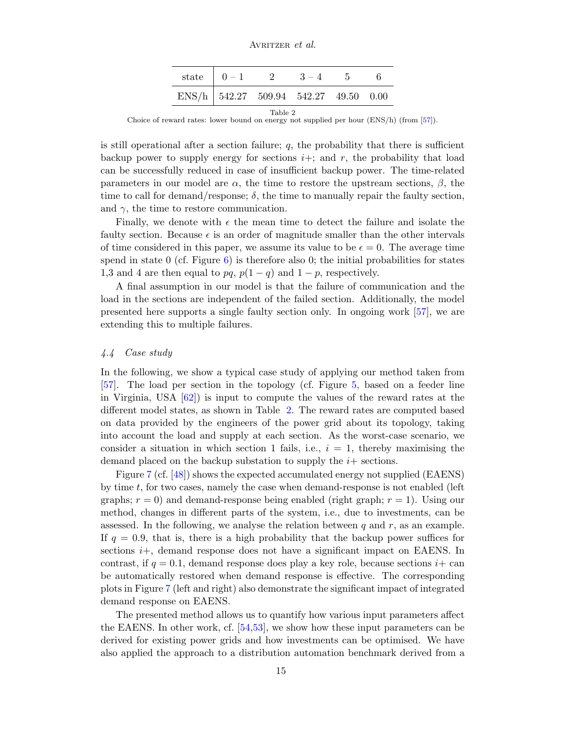AVRITZER et al.

|                                                   | state $\begin{array}{ c c c c c } \hline 0 & -1 & 2 & 3-4 & 5 \ \hline \end{array}$ |  |  |  | - 6 |  |  |
|---------------------------------------------------|-------------------------------------------------------------------------------------|--|--|--|-----|--|--|
| ENS/h   $542.27$ $509.94$ $542.27$ $49.50$ $0.00$ |                                                                                     |  |  |  |     |  |  |
| ____                                              |                                                                                     |  |  |  |     |  |  |

<span id="page-14-0"></span>Table 2 Choice of reward rates: lower bound on energy not supplied per hour (ENS/h) (from [\[57\]](#page-18-18)).

is still operational after a section failure;  $q$ , the probability that there is sufficient backup power to supply energy for sections  $i+$ ; and r, the probability that load can be successfully reduced in case of insufficient backup power. The time-related parameters in our model are  $\alpha$ , the time to restore the upstream sections,  $\beta$ , the time to call for demand/response;  $\delta$ , the time to manually repair the faulty section, and  $\gamma$ , the time to restore communication.

Finally, we denote with  $\epsilon$  the mean time to detect the failure and isolate the faulty section. Because  $\epsilon$  is an order of magnitude smaller than the other intervals of time considered in this paper, we assume its value to be  $\epsilon = 0$ . The average time spend in state  $0$  (cf. Figure  $6$ ) is therefore also 0; the initial probabilities for states 1,3 and 4 are then equal to pq,  $p(1 - q)$  and  $1 - p$ , respectively.

A final assumption in our model is that the failure of communication and the load in the sections are independent of the failed section. Additionally, the model presented here supports a single faulty section only. In ongoing work [\[57\]](#page-18-18), we are extending this to multiple failures.

#### 4.4 Case study

In the following, we show a typical case study of applying our method taken from [\[57\]](#page-18-18). The load per section in the topology (cf. Figure [5,](#page-13-0) based on a feeder line in Virginia, USA [\[62\]](#page-19-1)) is input to compute the values of the reward rates at the different model states, as shown in Table [2.](#page-14-0) The reward rates are computed based on data provided by the engineers of the power grid about its topology, taking into account the load and supply at each section. As the worst-case scenario, we consider a situation in which section 1 fails, i.e.,  $i = 1$ , thereby maximising the demand placed on the backup substation to supply the  $i+$  sections.

Figure [7](#page-15-0) (cf. [\[48\]](#page-18-16)) shows the expected accumulated energy not supplied (EAENS) by time  $t$ , for two cases, namely the case when demand-response is not enabled (left graphs;  $r = 0$ ) and demand-response being enabled (right graph;  $r = 1$ ). Using our method, changes in different parts of the system, i.e., due to investments, can be assessed. In the following, we analyse the relation between  $q$  and  $r$ , as an example. If  $q = 0.9$ , that is, there is a high probability that the backup power suffices for sections  $i$ <sup>+</sup>, demand response does not have a significant impact on EAENS. In contrast, if  $q = 0.1$ , demand response does play a key role, because sections  $i +$  can be automatically restored when demand response is effective. The corresponding plots in Figure [7](#page-15-0) (left and right) also demonstrate the significant impact of integrated demand response on EAENS.

The presented method allows us to quantify how various input parameters affect the EAENS. In other work, cf. [\[54](#page-18-22)[,53\]](#page-18-17), we show how these input parameters can be derived for existing power grids and how investments can be optimised. We have also applied the approach to a distribution automation benchmark derived from a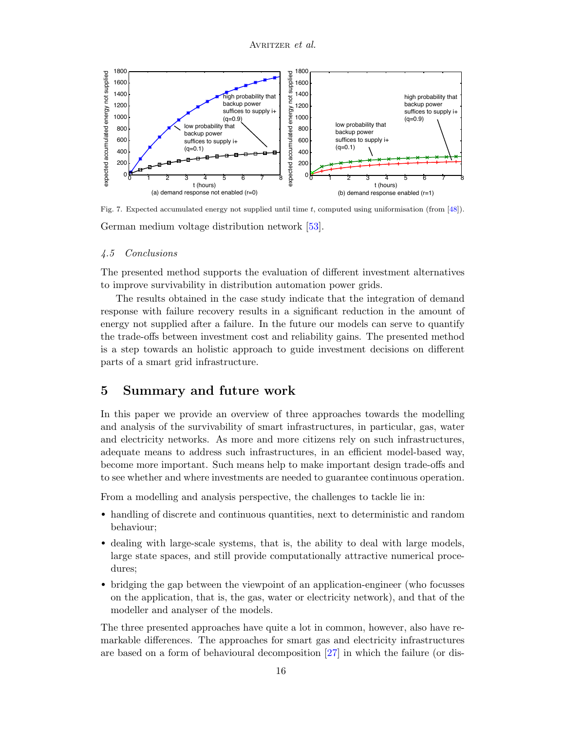

<span id="page-15-0"></span>Fig. 7. Expected accumulated energy not supplied until time  $t$ , computed using uniformisation (from [\[48\]](#page-18-16)). German medium voltage distribution network [\[53\]](#page-18-17).

### 4.5 Conclusions

The presented method supports the evaluation of different investment alternatives to improve survivability in distribution automation power grids.

The results obtained in the case study indicate that the integration of demand response with failure recovery results in a significant reduction in the amount of energy not supplied after a failure. In the future our models can serve to quantify the trade-offs between investment cost and reliability gains. The presented method is a step towards an holistic approach to guide investment decisions on different parts of a smart grid infrastructure.

# 5 Summary and future work

In this paper we provide an overview of three approaches towards the modelling and analysis of the survivability of smart infrastructures, in particular, gas, water and electricity networks. As more and more citizens rely on such infrastructures, adequate means to address such infrastructures, in an efficient model-based way, become more important. Such means help to make important design trade-offs and to see whether and where investments are needed to guarantee continuous operation.

From a modelling and analysis perspective, the challenges to tackle lie in:

- handling of discrete and continuous quantities, next to deterministic and random behaviour;
- dealing with large-scale systems, that is, the ability to deal with large models, large state spaces, and still provide computationally attractive numerical procedures;
- bridging the gap between the viewpoint of an application-engineer (who focusses on the application, that is, the gas, water or electricity network), and that of the modeller and analyser of the models.

The three presented approaches have quite a lot in common, however, also have remarkable differences. The approaches for smart gas and electricity infrastructures are based on a form of behavioural decomposition [\[27\]](#page-17-2) in which the failure (or dis-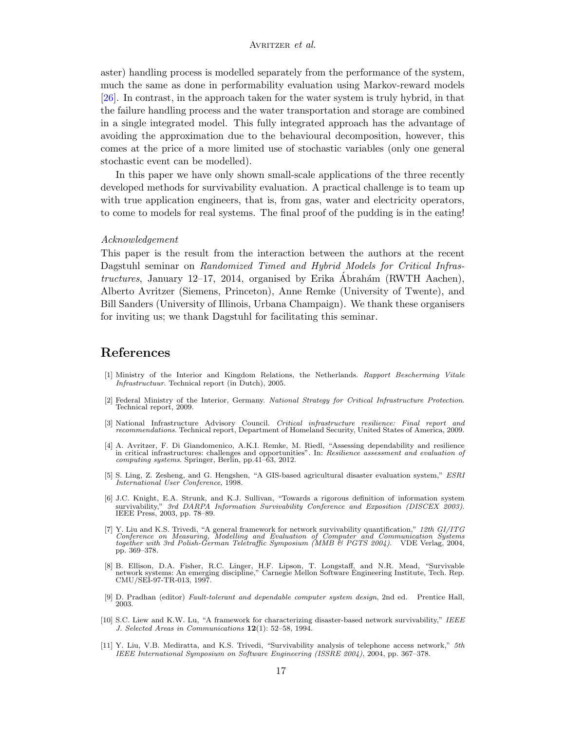aster) handling process is modelled separately from the performance of the system, much the same as done in performability evaluation using Markov-reward models [\[26\]](#page-17-3). In contrast, in the approach taken for the water system is truly hybrid, in that the failure handling process and the water transportation and storage are combined in a single integrated model. This fully integrated approach has the advantage of avoiding the approximation due to the behavioural decomposition, however, this comes at the price of a more limited use of stochastic variables (only one general stochastic event can be modelled).

In this paper we have only shown small-scale applications of the three recently developed methods for survivability evaluation. A practical challenge is to team up with true application engineers, that is, from gas, water and electricity operators, to come to models for real systems. The final proof of the pudding is in the eating!

#### Acknowledgement

This paper is the result from the interaction between the authors at the recent Dagstuhl seminar on Randomized Timed and Hybrid Models for Critical Infrastructures, January 12–17, 2014, organised by Erika Ábrahám (RWTH Aachen), Alberto Avritzer (Siemens, Princeton), Anne Remke (University of Twente), and Bill Sanders (University of Illinois, Urbana Champaign). We thank these organisers for inviting us; we thank Dagstuhl for facilitating this seminar.

# References

- <span id="page-16-0"></span>[1] Ministry of the Interior and Kingdom Relations, the Netherlands. Rapport Bescherming Vitale Infrastructuur. Technical report (in Dutch), 2005.
- <span id="page-16-1"></span>[2] Federal Ministry of the Interior, Germany. National Strategy for Critical Infrastructure Protection. Technical report, 2009.
- <span id="page-16-2"></span>[3] National Infrastructure Advisory Council. Critical infrastructure resilience: Final report and recommendations. Technical report, Department of Homeland Security, United States of America, 2009.
- <span id="page-16-3"></span>[4] A. Avritzer, F. Di Giandomenico, A.K.I. Remke, M. Riedl, "Assessing dependability and resilience in critical infrastructures: challenges and opportunities". In: Resilience assessment and evaluation of computing systems. Springer, Berlin, pp.41–63, 2012.
- <span id="page-16-4"></span>[5] S. Ling, Z. Zesheng, and G. Hengshen, "A GIS-based agricultural disaster evaluation system," ESRI International User Conference, 1998.
- <span id="page-16-5"></span>[6] J.C. Knight, E.A. Strunk, and K.J. Sullivan, "Towards a rigorous definition of information system survivability," 3rd DARPA Information Survivability Conference and Exposition (DISCEX 2003).<br>IEEE Press, 2003, pp. 78–89.
- <span id="page-16-6"></span>[7] Y. Liu and K.S. Trivedi, "A general framework for network survivability quantification," 12th GI/ITG<br>Conference on Measuring, Modelling and Evaluation of Computer and Communication Systems<br>together with 3rd Polish-Germ pp. 369–378.
- <span id="page-16-7"></span>[8] B. Ellison, D.A. Fisher, R.C. Linger, H.F. Lipson, T. Longstaff, and N.R. Mead, "Survivable network systems: An emerging discipline," Carnegie Mellon Software Engineering Institute, Tech. Rep. CMU/SEI-97-TR-013, 1997.
- <span id="page-16-8"></span>[9] D. Pradhan (editor) Fault-tolerant and dependable computer system design, 2nd ed. Prentice Hall, 2003.
- <span id="page-16-9"></span>[10] S.C. Liew and K.W. Lu, "A framework for characterizing disaster-based network survivability," IEEE J. Selected Areas in Communications 12(1): 52–58, 1994.
- <span id="page-16-10"></span>[11] Y. Liu, V.B. Mediratta, and K.S. Trivedi, "Survivability analysis of telephone access network," 5th IEEE International Symposium on Software Engineering (ISSRE 2004), 2004, pp. 367–378.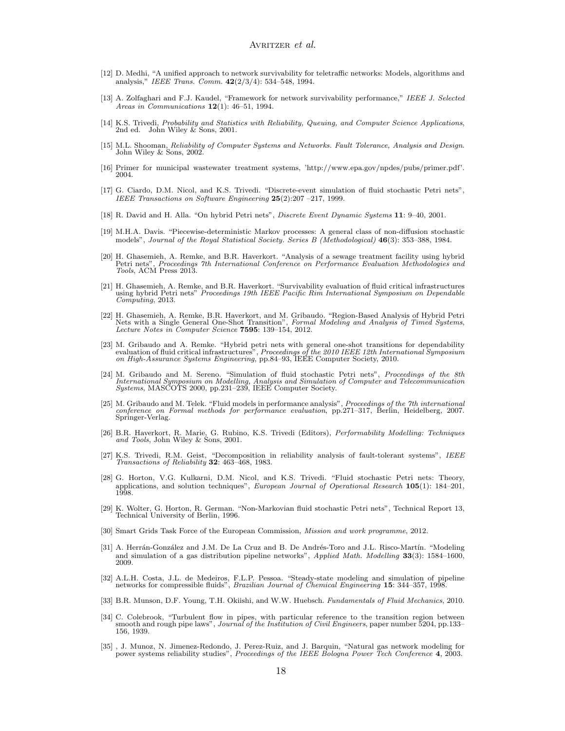- <span id="page-17-0"></span>[12] D. Medhi, "A unified approach to network survivability for teletraffic networks: Models, algorithms and analysis," IEEE Trans. Comm. 42(2/3/4): 534–548, 1994.
- <span id="page-17-1"></span>[13] A. Zolfaghari and F.J. Kaudel, "Framework for network survivability performance," IEEE J. Selected Areas in Communications  $12(1)$ : 46-51, 1994.
- [14] K.S. Trivedi, Probability and Statistics with Reliability, Queuing, and Computer Science Applications, 2nd ed. John Wiley & Sons, 2001.
- [15] M.L. Shooman, Reliability of Computer Systems and Networks. Fault Tolerance, Analysis and Design. John Wiley & Sons, 2002.
- <span id="page-17-15"></span>[16] Primer for municipal wastewater treatment systems, 'http://www.epa.gov/npdes/pubs/primer.pdf'. 2004.
- <span id="page-17-8"></span>[17] G. Ciardo, D.M. Nicol, and K.S. Trivedi. "Discrete-event simulation of fluid stochastic Petri nets", IEEE Transactions on Software Engineering 25(2):207 –217, 1999.
- <span id="page-17-10"></span>[18] R. David and H. Alla. "On hybrid Petri nets", Discrete Event Dynamic Systems 11: 9–40, 2001.
- <span id="page-17-4"></span>[19] M.H.A. Davis. "Piecewise-deterministic Markov processes: A general class of non-diffusion stochastic models", Journal of the Royal Statistical Society. Series B (Methodological) 46(3): 353–388, 1984.
- <span id="page-17-14"></span>[20] H. Ghasemieh, A. Remke, and B.R. Haverkort. "Analysis of a sewage treatment facility using hybrid Petri nets", *Proceedings 7th International Conference on Performance Evaluation Methodologies and* Tools, ACM Press 2013.
- <span id="page-17-13"></span>[21] H. Ghasemieh, A. Remke, and B.R. Haverkort. "Survivability evaluation of fluid critical infrastructures using hybrid Petri nets" Proceedings 19th IEEE Pacific Rim International Symposium on Dependable Computing, 2013.
- <span id="page-17-12"></span>[22] H. Ghasemieh, A. Remke, B.R. Haverkort, and M. Gribaudo. "Region-Based Analysis of Hybrid Petri Nets with a Single General One-Shot Transition", Formal Modeling and Analysis of Timed Systems, Lecture Notes in Computer Science 7595: 139–154, 2012.
- <span id="page-17-11"></span>[23] M. Gribaudo and A. Remke. "Hybrid petri nets with general one-shot transitions for dependability evaluation of fluid critical infrastructures", Proceedings of the 2010 IEEE 12th International Symposium on High-Assuran
- <span id="page-17-9"></span>[24] M. Gribaudo and M. Sereno. "Simulation of fluid stochastic Petri nets", *Proceedings of the 8th International Symposium on Modelling, Analysis and Simulation of Computer and Telecommunication Systems,* MASCOTS 2000,
- <span id="page-17-5"></span>[25] M. Gribaudo and M. Telek. "Fluid models in performance analysis", Proceedings of the 7th international conference on Formal methods for performance evaluation, pp.271–317, Berlin, Heidelberg, 2007. Springer-Verlag.
- <span id="page-17-3"></span>[26] B.R. Haverkort, R. Marie, G. Rubino, K.S. Trivedi (Editors), Performability Modelling: Techniques and Tools, John Wiley & Sons, 2001.
- <span id="page-17-2"></span>[27] K.S. Trivedi, R.M. Geist, "Decomposition in reliability analysis of fault-tolerant systems", IEEE Transactions of Reliability 32: 463–468, 1983.
- <span id="page-17-6"></span>[28] G. Horton, V.G. Kulkarni, D.M. Nicol, and K.S. Trivedi. "Fluid stochastic Petri nets: Theory, applications, and solution techniques", European Journal of Operational Research 105(1): 184–201, 1998.
- <span id="page-17-7"></span>[29] K. Wolter, G. Horton, R. German. "Non-Markovian fluid stochastic Petri nets", Technical Report 13, Technical University of Berlin, 1996.
- <span id="page-17-16"></span>[30] Smart Grids Task Force of the European Commission, Mission and work programme, 2012.
- <span id="page-17-17"></span>[31] A. Herrán-González and J.M. De La Cruz and B. De Andrés-Toro and J.L. Risco-Martín. "Modeling and simulation of a gas distribution pipeline networks", Applied Math. Modelling 33(3): 1584–1600, 2009.
- <span id="page-17-18"></span>[32] A.L.H. Costa, J.L. de Medeiros, F.L.P. Pessoa. "Steady-state modeling and simulation of pipeline networks for compressible fluids", Brazilian Journal of Chemical Engineering 15: 344–357, 1998.
- <span id="page-17-19"></span>[33] B.R. Munson, D.F. Young, T.H. Okiishi, and W.W. Huebsch. Fundamentals of Fluid Mechanics, 2010.
- <span id="page-17-21"></span>[34] C. Colebrook, "Turbulent flow in pipes, with particular reference to the transition region between smooth and rough pipe laws", Journal of the Institution of Civil Engineers, paper number 5204, pp.133– 156, 1939.
- <span id="page-17-20"></span>[35] , J. Munoz, N. Jimenez-Redondo, J. Perez-Ruiz, and J. Barquin, "Natural gas network modeling for power systems reliability studies", *Proceedings of the IEEE Bologna Power Tech Conference* 4, 2003.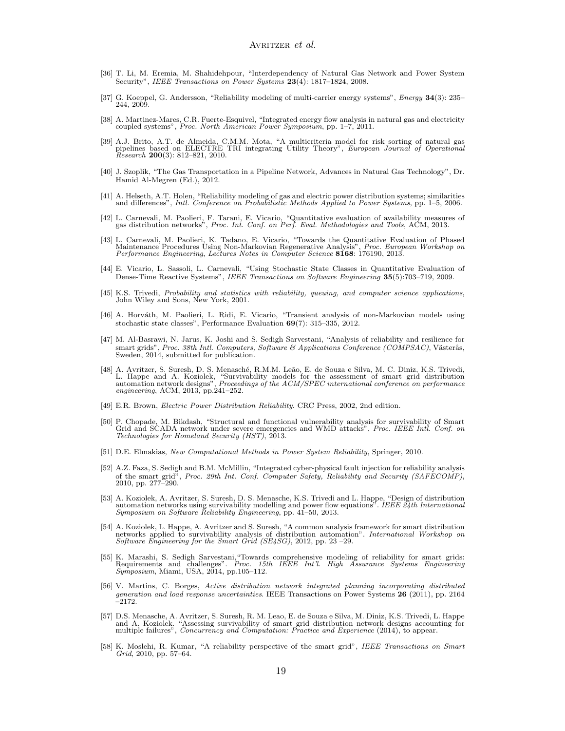- <span id="page-18-0"></span>[36] T. Li, M. Eremia, M. Shahidehpour, "Interdependency of Natural Gas Network and Power System Security", IEEE Transactions on Power Systems  $23(4)$ : 1817–1824, 2008.
- <span id="page-18-1"></span>[37] G. Koeppel, G. Andersson, "Reliability modeling of multi-carrier energy systems", Energy 34(3): 235– 244, 2009.
- <span id="page-18-2"></span>[38] A. Martinez-Mares, C.R. Fuerte-Esquivel, "Integrated energy flow analysis in natural gas and electricity coupled systems", Proc. North American Power Symposium, pp. 1–7, 2011.
- <span id="page-18-3"></span>[39] A.J. Brito, A.T. de Almeida, C.M.M. Mota, "A multicriteria model for risk sorting of natural gas pipelines based on ELECTRE TRI integrating Utility Theory", *European Journal of Operational*  $R \text{e} \text{search}$  200(3): 812–821, 2010.
- <span id="page-18-4"></span>[40] J. Szoplik, "The Gas Transportation in a Pipeline Network, Advances in Natural Gas Technology", Dr. Hamid Al-Megren (Ed.), 2012.
- <span id="page-18-5"></span>[41] A. Helseth, A.T. Holen, "Reliability modeling of gas and electric power distribution systems; similarities and differences", Intl. Conference on Probabilistic Methods Applied to Power Systems, pp. 1–5, 2006.
- <span id="page-18-6"></span>[42] L. Carnevali, M. Paolieri, F. Tarani, E. Vicario, "Quantitative evaluation of availability measures of gas distribution networks", Proc. Int. Conf. on Perf. Eval. Methodologies and Tools, ACM, 2013.
- <span id="page-18-10"></span>[43] L. Carnevali, M. Paolieri, K. Tadano, E. Vicario, "Towards the Quantitative Evaluation of Phased Maintenance Procedures Using Non-Markovian Regenerative Analysis", *Proc. European Workshop on Performance Engineering,*
- <span id="page-18-7"></span>[44] E. Vicario, L. Sassoli, L. Carnevali, "Using Stochastic State Classes in Quantitative Evaluation of Dense-Time Reactive Systems", IEEE Transactions on Software Engineering 35(5):703–719, 2009.
- <span id="page-18-8"></span>[45] K.S. Trivedi, Probability and statistics with reliability, queuing, and computer science applications, John Wiley and Sons, New York, 2001.
- <span id="page-18-9"></span>[46] A. Horváth, M. Paolieri, L. Ridi, E. Vicario, "Transient analysis of non-Markovian models using stochastic state classes", Performance Evaluation 69(7): 315–335, 2012.
- <span id="page-18-21"></span>[47] M. Al-Basrawi, N. Jarus, K. Joshi and S. Sedigh Sarvestani, "Analysis of reliability and resilience for smart grids", Proc. 38th Intl. Computers, Software & Applications Conference (COMPSAC), Västerås, Sweden, 2014, submitted for publication.
- <span id="page-18-16"></span>[48] A. Avritzer, S. Suresh, D. S. Menasché, R.M.M. Leão, E. de Souza e Silva, M. C. Diniz, K.S. Trivedi, L. Happe and A. Koziolek, "Survivability models for the assessment of smart grid distribution automation network designs", *Proceedings of the ACM/SPEC international conference on performance* engineering, ACM, 2013, pp.241–252.
- <span id="page-18-11"></span>[49] E.R. Brown, Electric Power Distribution Reliability. CRC Press, 2002, 2nd edition.
- <span id="page-18-20"></span>[50] P. Chopade, M. Bikdash, "Structural and functional vulnerability analysis for survivability of Smart Grid and SCADA network under severe emergencies and WMD attacks", Proc. IEEE Intl. Conf. on Technologies for Homeland Security (HST), 2013.
- <span id="page-18-12"></span>[51] D.E. Elmakias, New Computational Methods in Power System Reliability, Springer, 2010.
- <span id="page-18-14"></span>[52] A.Z. Faza, S. Sedigh and B.M. McMillin, "Integrated cyber-physical fault injection for reliability analysis of the smart grid", Proc. 29th Int. Conf. Computer Safety, Reliability and Security (SAFECOMP), 2010, pp. 277–290.
- <span id="page-18-17"></span>[53] A. Koziolek, A. Avritzer, S. Suresh, D. S. Menasche, K.S. Trivedi and L. Happe, "Design of distribution automation networks using survivability modelling and power flow equations". IEEE 24th International Symposium on Software Reliability Engineering, pp. 41–50, 2013.
- <span id="page-18-22"></span>[54] A. Koziolek, L. Happe, A. Avritzer and S. Suresh, "A common analysis framework for smart distribution networks applied to survivability analysis of distribution automation". International Workshop on Software Engineering for the Smart Grid (SE4SG), 2012, pp. 23 –29.
- <span id="page-18-15"></span>[55] K. Marashi, S. Sedigh Sarvestani, "Towards comprehensive modeling of reliability for smart grids:<br>Requirements and challenges". Proc. 15th IEEE Int'l. High Assurance Systems Engineering<br>Symposium, Miami, USA, 2014, pp
- <span id="page-18-19"></span>[56] V. Martins, C. Borges, Active distribution network integrated planning incorporating distributed generation and load response uncertainties. IEEE Transactions on Power Systems 26 (2011), pp. 2164 –2172.
- <span id="page-18-18"></span>[57] D.S. Menasche, A. Avritzer, S. Suresh, R. M. Leao, E. de Souza e Silva, M. Diniz, K.S. Trivedi, L. Happe and A. Koziolek. "Assessing survivability of smart grid distribution network designs accounting for multiple failures", *Concurrency and Computation: Practice and Experience* (2014), to appear.
- <span id="page-18-13"></span>[58] K. Moslehi, R. Kumar, "A reliability perspective of the smart grid", IEEE Transactions on Smart Grid, 2010, pp. 57–64.